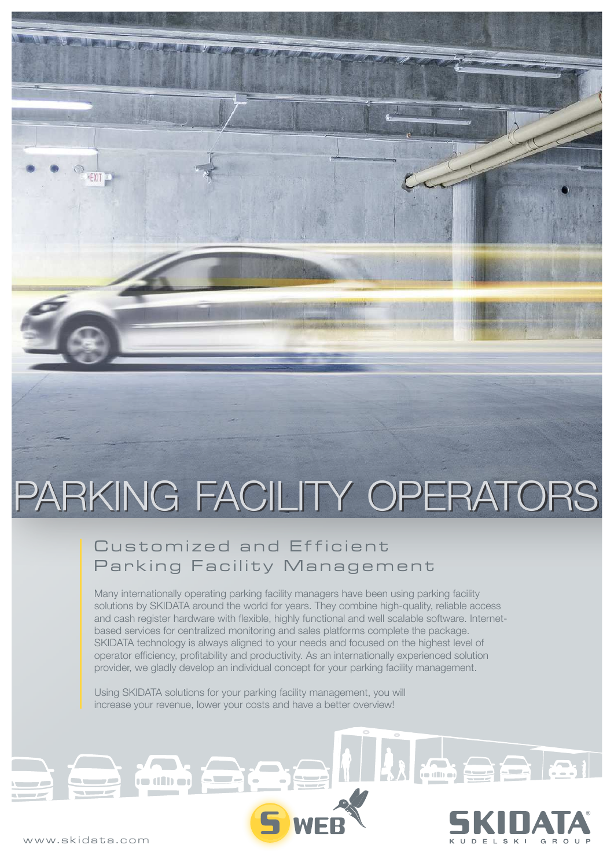# PARKING FACILITY OPERATORS

### Customized and Efficient Parking Facility Management

Many internationally operating parking facility managers have been using parking facility solutions by SKIDATA around the world for years. They combine high-quality, reliable access and cash register hardware with flexible, highly functional and well scalable software. Internetbased services for centralized monitoring and sales platforms complete the package. SKIDATA technology is always aligned to your needs and focused on the highest level of operator efficiency, profitability and productivity. As an internationally experienced solution provider, we gladly develop an individual concept for your parking facility management.

Using SKIDATA solutions for your parking facility management, you will increase your revenue, lower your costs and have a better overview!



 $\sum$ 

ra din ar

**EXIT**